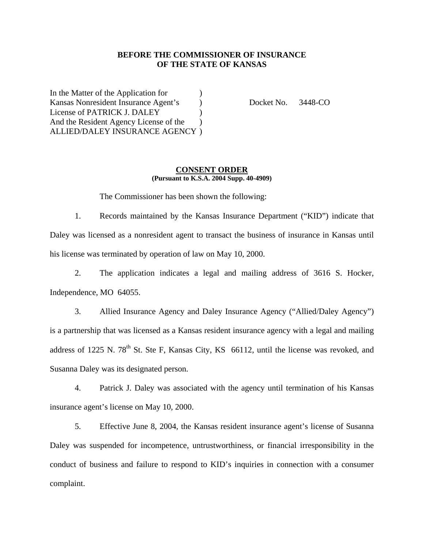## **BEFORE THE COMMISSIONER OF INSURANCE OF THE STATE OF KANSAS**

In the Matter of the Application for  $\qquad$ Kansas Nonresident Insurance Agent's (b) Docket No. 3448-CO License of PATRICK J. DALEY ) And the Resident Agency License of the  $\qquad$  ) ALLIED/DALEY INSURANCE AGENCY )

#### **CONSENT ORDER (Pursuant to K.S.A. 2004 Supp. 40-4909)**

The Commissioner has been shown the following:

1. Records maintained by the Kansas Insurance Department ("KID") indicate that Daley was licensed as a nonresident agent to transact the business of insurance in Kansas until his license was terminated by operation of law on May 10, 2000.

2. The application indicates a legal and mailing address of 3616 S. Hocker, Independence, MO 64055.

3. Allied Insurance Agency and Daley Insurance Agency ("Allied/Daley Agency") is a partnership that was licensed as a Kansas resident insurance agency with a legal and mailing address of 1225 N.  $78<sup>th</sup>$  St. Ste F, Kansas City, KS 66112, until the license was revoked, and Susanna Daley was its designated person.

4. Patrick J. Daley was associated with the agency until termination of his Kansas insurance agent's license on May 10, 2000.

5. Effective June 8, 2004, the Kansas resident insurance agent's license of Susanna Daley was suspended for incompetence, untrustworthiness, or financial irresponsibility in the conduct of business and failure to respond to KID's inquiries in connection with a consumer complaint.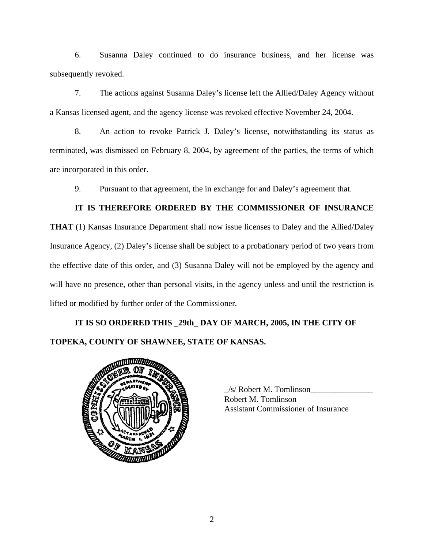6. Susanna Daley continued to do insurance business, and her license was subsequently revoked.

7. The actions against Susanna Daley's license left the Allied/Daley Agency without a Kansas licensed agent, and the agency license was revoked effective November 24, 2004.

8. An action to revoke Patrick J. Daley's license, notwithstanding its status as terminated, was dismissed on February 8, 2004, by agreement of the parties, the terms of which are incorporated in this order.

9. Pursuant to that agreement, the in exchange for and Daley's agreement that.

# **IT IS THEREFORE ORDERED BY THE COMMISSIONER OF INSURANCE**

**THAT** (1) Kansas Insurance Department shall now issue licenses to Daley and the Allied/Daley Insurance Agency, (2) Daley's license shall be subject to a probationary period of two years from the effective date of this order, and (3) Susanna Daley will not be employed by the agency and will have no presence, other than personal visits, in the agency unless and until the restriction is lifted or modified by further order of the Commissioner.

# **IT IS SO ORDERED THIS \_29th\_ DAY OF MARCH, 2005, IN THE CITY OF TOPEKA, COUNTY OF SHAWNEE, STATE OF KANSAS.**



 $/s$  Robert M. Tomlinson Robert M. Tomlinson Assistant Commissioner of Insurance